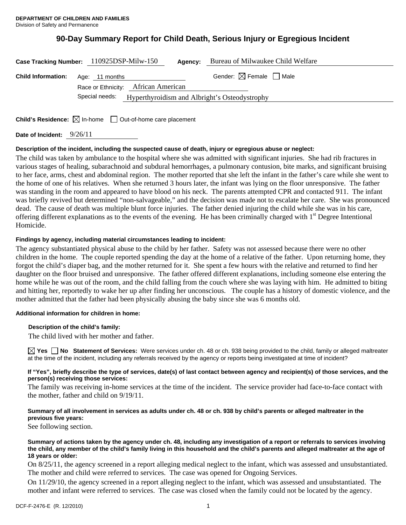# **90-Day Summary Report for Child Death, Serious Injury or Egregious Incident**

|                                          | Case Tracking Number: 110925DSP-Milw-150<br>Agency:          | Bureau of Milwaukee Child Welfare      |
|------------------------------------------|--------------------------------------------------------------|----------------------------------------|
| <b>Child Information:</b> Age: 11 months |                                                              | Gender: $\boxtimes$ Female $\Box$ Male |
|                                          | Race or Ethnicity: African American                          |                                        |
|                                          | Special needs: Hyperthyroidism and Albright's Osteodystrophy |                                        |
|                                          |                                                              |                                        |

**Child's Residence:**  $\boxtimes$  In-home  $\Box$  Out-of-home care placement

**Date of Incident:** 9/26/11

#### **Description of the incident, including the suspected cause of death, injury or egregious abuse or neglect:**

The child was taken by ambulance to the hospital where she was admitted with significant injuries. She had rib fractures in various stages of healing, subarachnoid and subdural hemorrhages, a pulmonary contusion, bite marks, and significant bruising to her face, arms, chest and abdominal region. The mother reported that she left the infant in the father's care while she went to the home of one of his relatives. When she returned 3 hours later, the infant was lying on the floor unresponsive. The father was standing in the room and appeared to have blood on his neck. The parents attempted CPR and contacted 911. The infant was briefly revived but determined "non-salvageable," and the decision was made not to escalate her care. She was pronounced dead. The cause of death was multiple blunt force injuries. The father denied injuring the child while she was in his care, offering different explanations as to the events of the evening. He has been criminally charged with  $1<sup>st</sup>$  Degree Intentional Homicide.

#### **Findings by agency, including material circumstances leading to incident:**

The agency substantiated physical abuse to the child by her father. Safety was not assessed because there were no other children in the home. The couple reported spending the day at the home of a relative of the father. Upon returning home, they forgot the child's diaper bag, and the mother returned for it. She spent a few hours with the relative and returned to find her daughter on the floor bruised and unresponsive. The father offered different explanations, including someone else entering the home while he was out of the room, and the child falling from the couch where she was laying with him. He admitted to biting and hitting her, reportedly to wake her up after finding her unconscious. The couple has a history of domestic violence, and the mother admitted that the father had been physically abusing the baby since she was 6 months old.

#### **Additional information for children in home:**

#### **Description of the child's family:**

The child lived with her mother and father.

**Yes No Statement of Services:** Were services under ch. 48 or ch. 938 being provided to the child, family or alleged maltreater at the time of the incident, including any referrals received by the agency or reports being investigated at time of incident?

#### **If "Yes", briefly describe the type of services, date(s) of last contact between agency and recipient(s) of those services, and the person(s) receiving those services:**

The family was receiving in-home services at the time of the incident. The service provider had face-to-face contact with the mother, father and child on 9/19/11.

#### **Summary of all involvement in services as adults under ch. 48 or ch. 938 by child's parents or alleged maltreater in the previous five years:**

See following section.

#### **Summary of actions taken by the agency under ch. 48, including any investigation of a report or referrals to services involving the child, any member of the child's family living in this household and the child's parents and alleged maltreater at the age of 18 years or older:**

On 8/25/11, the agency screened in a report alleging medical neglect to the infant, which was assessed and unsubstantiated. The mother and child were referred to services. The case was opened for Ongoing Services.

On 11/29/10, the agency screened in a report alleging neglect to the infant, which was assessed and unsubstantiated. The mother and infant were referred to services. The case was closed when the family could not be located by the agency.